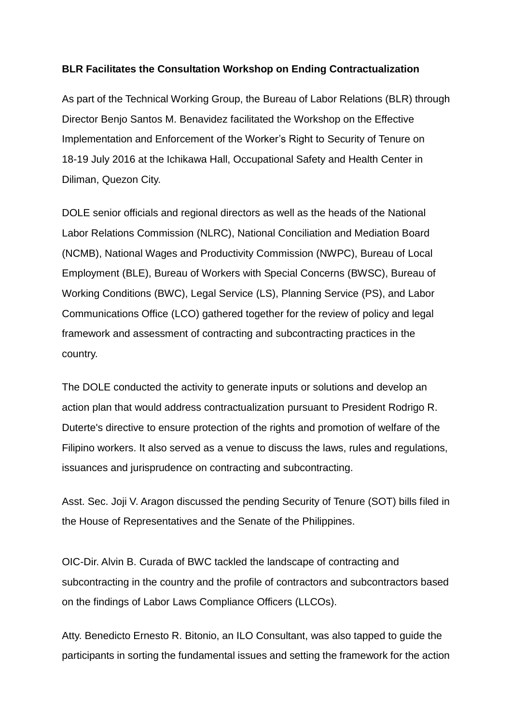## **BLR Facilitates the Consultation Workshop on Ending Contractualization**

As part of the Technical Working Group, the Bureau of Labor Relations (BLR) through Director Benjo Santos M. Benavidez facilitated the Workshop on the Effective Implementation and Enforcement of the Worker's Right to Security of Tenure on 18-19 July 2016 at the Ichikawa Hall, Occupational Safety and Health Center in Diliman, Quezon City.

DOLE senior officials and regional directors as well as the heads of the National Labor Relations Commission (NLRC), National Conciliation and Mediation Board (NCMB), National Wages and Productivity Commission (NWPC), Bureau of Local Employment (BLE), Bureau of Workers with Special Concerns (BWSC), Bureau of Working Conditions (BWC), Legal Service (LS), Planning Service (PS), and Labor Communications Office (LCO) gathered together for the review of policy and legal framework and assessment of contracting and subcontracting practices in the country.

The DOLE conducted the activity to generate inputs or solutions and develop an action plan that would address contractualization pursuant to President Rodrigo R. Duterte's directive to ensure protection of the rights and promotion of welfare of the Filipino workers. It also served as a venue to discuss the laws, rules and regulations, issuances and jurisprudence on contracting and subcontracting.

Asst. Sec. Joji V. Aragon discussed the pending Security of Tenure (SOT) bills filed in the House of Representatives and the Senate of the Philippines.

OIC-Dir. Alvin B. Curada of BWC tackled the landscape of contracting and subcontracting in the country and the profile of contractors and subcontractors based on the findings of Labor Laws Compliance Officers (LLCOs).

Atty. Benedicto Ernesto R. Bitonio, an ILO Consultant, was also tapped to guide the participants in sorting the fundamental issues and setting the framework for the action